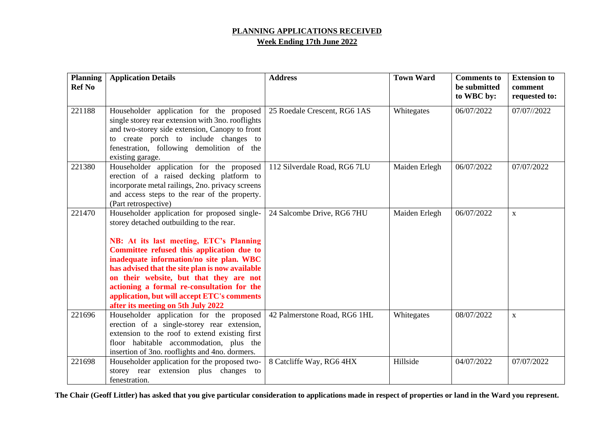## **PLANNING APPLICATIONS RECEIVED Week Ending 17th June 2022**

| <b>Planning</b><br><b>Ref No</b> | <b>Application Details</b>                                                                                                                                                                                                                                                                                                                                                                                                                                    | <b>Address</b>               | <b>Town Ward</b> | <b>Comments</b> to<br>be submitted<br>to WBC by: | <b>Extension to</b><br>comment<br>requested to: |
|----------------------------------|---------------------------------------------------------------------------------------------------------------------------------------------------------------------------------------------------------------------------------------------------------------------------------------------------------------------------------------------------------------------------------------------------------------------------------------------------------------|------------------------------|------------------|--------------------------------------------------|-------------------------------------------------|
| 221188                           | Householder application for the proposed<br>single storey rear extension with 3no. rooflights<br>and two-storey side extension, Canopy to front<br>to create porch to include changes to<br>fenestration, following demolition of the<br>existing garage.                                                                                                                                                                                                     | 25 Roedale Crescent, RG6 1AS | Whitegates       | 06/07/2022                                       | 07/07//2022                                     |
| 221380                           | Householder application for the proposed<br>erection of a raised decking platform to<br>incorporate metal railings, 2no. privacy screens<br>and access steps to the rear of the property.<br>(Part retrospective)                                                                                                                                                                                                                                             | 112 Silverdale Road, RG6 7LU | Maiden Erlegh    | 06/07/2022                                       | 07/07/2022                                      |
| 221470                           | Householder application for proposed single-<br>storey detached outbuilding to the rear.<br>NB: At its last meeting, ETC's Planning<br>Committee refused this application due to<br>inadequate information/no site plan. WBC<br>has advised that the site plan is now available<br>on their website, but that they are not<br>actioning a formal re-consultation for the<br>application, but will accept ETC's comments<br>after its meeting on 5th July 2022 | 24 Salcombe Drive, RG6 7HU   | Maiden Erlegh    | 06/07/2022                                       | $\mathbf{X}$                                    |
| 221696                           | Householder application for the proposed<br>erection of a single-storey rear extension,<br>extension to the roof to extend existing first<br>floor habitable accommodation, plus the<br>insertion of 3no. rooflights and 4no. dormers.                                                                                                                                                                                                                        | 42 Palmerstone Road, RG6 1HL | Whitegates       | 08/07/2022                                       | $\mathbf X$                                     |
| 221698                           | Householder application for the proposed two-<br>storey rear extension plus changes to<br>fenestration.                                                                                                                                                                                                                                                                                                                                                       | 8 Catcliffe Way, RG6 4HX     | Hillside         | 04/07/2022                                       | 07/07/2022                                      |

**The Chair (Geoff Littler) has asked that you give particular consideration to applications made in respect of properties or land in the Ward you represent.**